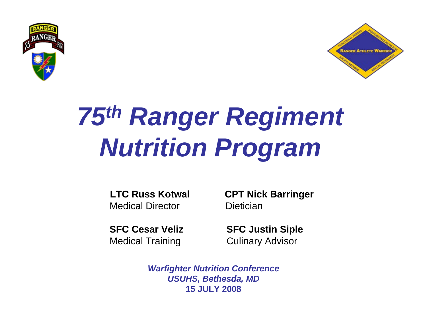



# *75th Ranger Regiment Nutrition Program*

Medical Director **Dietician** 

Medical Training **Culinary Advisor** 

**LTC Russ Kotwal CPT Nick Barringer**

**SFC Cesar Veliz SFC Justin Siple** 

*Warfighter Nutrition Conference USUHS, Bethesda, MD* **15 JULY 2008**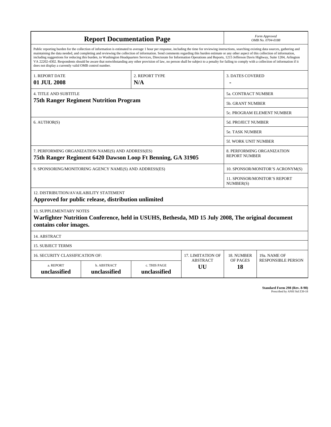| <b>Report Documentation Page</b>                                                                                                                                                                                                                                                                                                                                                                                                                                                                                                                                                                                                                                                                                                                                                                                                                                   |                             |                                           |                            |                                  | Form Approved<br>OMB No. 0704-0188                 |  |  |  |
|--------------------------------------------------------------------------------------------------------------------------------------------------------------------------------------------------------------------------------------------------------------------------------------------------------------------------------------------------------------------------------------------------------------------------------------------------------------------------------------------------------------------------------------------------------------------------------------------------------------------------------------------------------------------------------------------------------------------------------------------------------------------------------------------------------------------------------------------------------------------|-----------------------------|-------------------------------------------|----------------------------|----------------------------------|----------------------------------------------------|--|--|--|
| Public reporting burden for the collection of information is estimated to average 1 hour per response, including the time for reviewing instructions, searching existing data sources, gathering and<br>maintaining the data needed, and completing and reviewing the collection of information. Send comments regarding this burden estimate or any other aspect of this collection of information,<br>including suggestions for reducing this burden, to Washington Headquarters Services, Directorate for Information Operations and Reports, 1215 Jefferson Davis Highway, Suite 1204, Arlington<br>VA 22202-4302. Respondents should be aware that notwithstanding any other provision of law, no person shall be subject to a penalty for failing to comply with a collection of information if it<br>does not display a currently valid OMB control number. |                             |                                           |                            |                                  |                                                    |  |  |  |
| 1. REPORT DATE<br>01 JUL 2008                                                                                                                                                                                                                                                                                                                                                                                                                                                                                                                                                                                                                                                                                                                                                                                                                                      |                             | 2. REPORT TYPE<br>N/A                     |                            | <b>3. DATES COVERED</b>          |                                                    |  |  |  |
| <b>4. TITLE AND SUBTITLE</b>                                                                                                                                                                                                                                                                                                                                                                                                                                                                                                                                                                                                                                                                                                                                                                                                                                       |                             |                                           | 5a. CONTRACT NUMBER        |                                  |                                                    |  |  |  |
| <b>75th Ranger Regiment Nutrition Program</b>                                                                                                                                                                                                                                                                                                                                                                                                                                                                                                                                                                                                                                                                                                                                                                                                                      |                             |                                           |                            |                                  | 5b. GRANT NUMBER                                   |  |  |  |
|                                                                                                                                                                                                                                                                                                                                                                                                                                                                                                                                                                                                                                                                                                                                                                                                                                                                    |                             |                                           | 5c. PROGRAM ELEMENT NUMBER |                                  |                                                    |  |  |  |
| 6. AUTHOR(S)                                                                                                                                                                                                                                                                                                                                                                                                                                                                                                                                                                                                                                                                                                                                                                                                                                                       | <b>5d. PROJECT NUMBER</b>   |                                           |                            |                                  |                                                    |  |  |  |
|                                                                                                                                                                                                                                                                                                                                                                                                                                                                                                                                                                                                                                                                                                                                                                                                                                                                    |                             |                                           |                            |                                  | <b>5e. TASK NUMBER</b>                             |  |  |  |
|                                                                                                                                                                                                                                                                                                                                                                                                                                                                                                                                                                                                                                                                                                                                                                                                                                                                    |                             |                                           |                            |                                  | 5f. WORK UNIT NUMBER                               |  |  |  |
| 7. PERFORMING ORGANIZATION NAME(S) AND ADDRESS(ES)<br>75th Ranger Regiment 6420 Dawson Loop Ft Benning, GA 31905                                                                                                                                                                                                                                                                                                                                                                                                                                                                                                                                                                                                                                                                                                                                                   |                             |                                           |                            |                                  | 8. PERFORMING ORGANIZATION<br><b>REPORT NUMBER</b> |  |  |  |
| 9. SPONSORING/MONITORING AGENCY NAME(S) AND ADDRESS(ES)                                                                                                                                                                                                                                                                                                                                                                                                                                                                                                                                                                                                                                                                                                                                                                                                            |                             |                                           |                            | 10. SPONSOR/MONITOR'S ACRONYM(S) |                                                    |  |  |  |
|                                                                                                                                                                                                                                                                                                                                                                                                                                                                                                                                                                                                                                                                                                                                                                                                                                                                    |                             | 11. SPONSOR/MONITOR'S REPORT<br>NUMBER(S) |                            |                                  |                                                    |  |  |  |
| 12. DISTRIBUTION/AVAILABILITY STATEMENT<br>Approved for public release, distribution unlimited                                                                                                                                                                                                                                                                                                                                                                                                                                                                                                                                                                                                                                                                                                                                                                     |                             |                                           |                            |                                  |                                                    |  |  |  |
| <b>13. SUPPLEMENTARY NOTES</b><br>Warfighter Nutrition Conference, held in USUHS, Bethesda, MD 15 July 2008, The original document<br>contains color images.                                                                                                                                                                                                                                                                                                                                                                                                                                                                                                                                                                                                                                                                                                       |                             |                                           |                            |                                  |                                                    |  |  |  |
| 14. ABSTRACT                                                                                                                                                                                                                                                                                                                                                                                                                                                                                                                                                                                                                                                                                                                                                                                                                                                       |                             |                                           |                            |                                  |                                                    |  |  |  |
| <b>15. SUBJECT TERMS</b>                                                                                                                                                                                                                                                                                                                                                                                                                                                                                                                                                                                                                                                                                                                                                                                                                                           |                             |                                           |                            |                                  |                                                    |  |  |  |
| 16. SECURITY CLASSIFICATION OF:                                                                                                                                                                                                                                                                                                                                                                                                                                                                                                                                                                                                                                                                                                                                                                                                                                    |                             |                                           | 17. LIMITATION OF          | 18. NUMBER                       | 19a. NAME OF                                       |  |  |  |
| a. REPORT<br>unclassified                                                                                                                                                                                                                                                                                                                                                                                                                                                                                                                                                                                                                                                                                                                                                                                                                                          | b. ABSTRACT<br>unclassified | c. THIS PAGE<br>unclassified              | <b>ABSTRACT</b><br>UU      | OF PAGES<br>18                   | <b>RESPONSIBLE PERSON</b>                          |  |  |  |

**Standard Form 298 (Rev. 8-98)**<br>Prescribed by ANSI Std Z39-18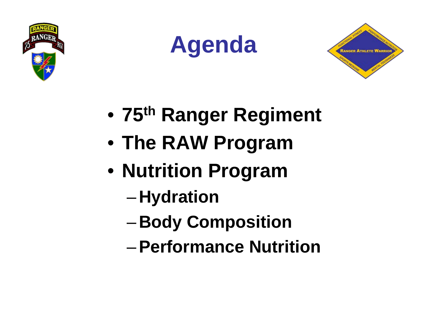





- •**75th Ranger Regiment**
- **The RAW Program**
- **Nutrition Program**
	- **Hydration**
	- –**Body Composition**
	- –**Performance Nutrition**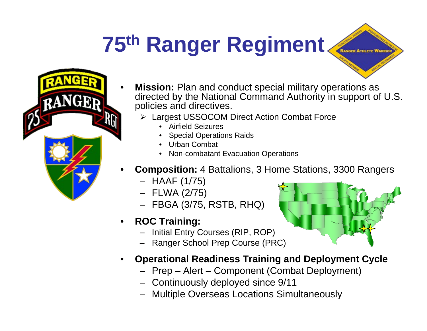## **75th Ranger Regiment**



- **Mission:** Plan and conduct special military operations as directed by the National Command Authority in support of U.S. policies and directives.
	- Largest USSOCOM Direct Action Combat Force
		- •Airfield Seizures
		- •Special Operations Raids
		- Urban Combat
		- •Non-combatant Evacuation Operations
- **Composition:** 4 Battalions, 3 Home Stations, 3300 Rangers
	- HAAF (1/75)
	- FLWA (2/75)
	- FBGA (3/75, RSTB, RHQ)
- • **ROC Training:**
	- –Initial Entry Courses (RIP, ROP)
	- –Ranger School Prep Course (PRC)
- • **Operational Readiness Training and Deployment Cycle**
	- Prep Alert Component (Combat Deployment)
	- Continuously deployed since 9/11
	- Multiple Overseas Locations Simultaneously

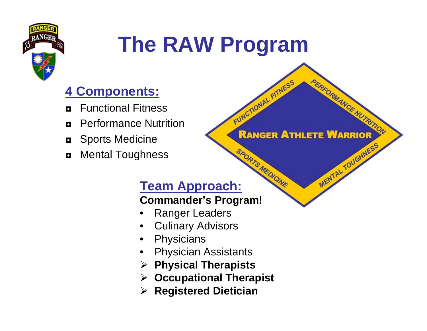

### **The RAW Program**

**FUNCTIONAL FITNESS** 

**RANGER ATHLETE WARRIOR** 

*PERFORMANCE NUTRITON* 

MENTAL TOUGHNESS

#### **4 Components:**

- ◘Functional Fitness
- ◘Performance Nutrition
- ◘ Sports Medicine
- ◘Mental Toughness

# **Team Approach:**

#### **Commander's Program!**

- •Ranger Leaders
- •Culinary Advisors
- •**Physicians**
- •Physician Assistants
- **Physical Therapists**
- **Occupational Therapist**
- **Registered Dietician**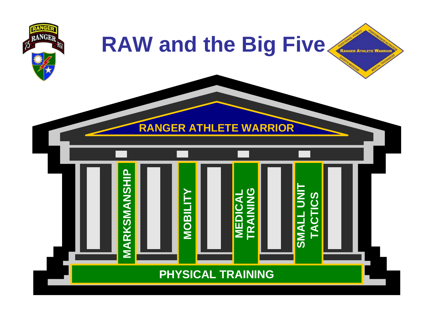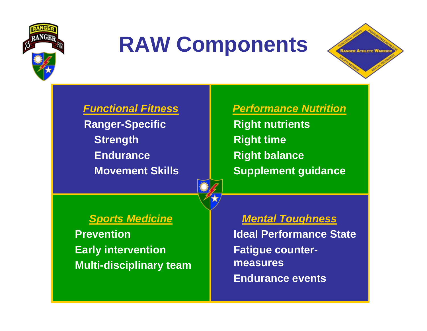

### **RAW Components**



*Functional Fitness*

**Ranger-Specific Strength EnduranceMovement Skills**



*Performance Nutrition*

**Right nutrients Right time Right balance Supplement guidance**

#### *Sports Medicine*

**PreventionEarly intervention Multi-disciplinary team** *Mental Toughness*

**Ideal Performance StateFatigue countermeasuresEndurance events**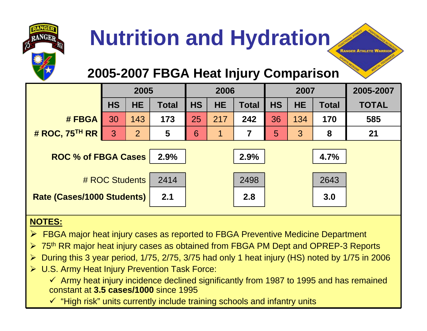

#### **2005-2007 FBGA Heat Injury Comparison**

**LANGER ATHLETE WARR** 

|                            | 2005      |           |              | 2006      |           | 2007         |           |           | 2005-2007    |              |
|----------------------------|-----------|-----------|--------------|-----------|-----------|--------------|-----------|-----------|--------------|--------------|
|                            | <b>HS</b> | <b>HE</b> | <b>Total</b> | <b>HS</b> | <b>HE</b> | <b>Total</b> | <b>HS</b> | <b>HE</b> | <b>Total</b> | <b>TOTAL</b> |
| # FBGA                     | 30        | 143       | 173          | 25        | 217       | 242          | 36        | 134       | 170          | 585          |
| # ROC, $75TH RR$           | 3         | 2         | 5            | 6         | 1         | 7            | 5         | 3         | 8            | 21           |
|                            |           |           |              |           |           |              |           |           |              |              |
| <b>ROC % of FBGA Cases</b> |           |           | 2.9%         |           |           | 2.9%         |           |           | 4.7%         |              |
| # ROC Students             |           |           |              |           |           |              |           |           |              |              |
|                            |           |           | 2414         |           |           | 2498         |           |           | 2643         |              |
| Rate (Cases/1000 Students) |           |           | 2.1          |           |           | 2.8          |           |           | 3.0          |              |
|                            |           |           |              |           |           |              |           |           |              |              |

#### **NOTES:**

- ▶ FBGA major heat injury cases as reported to FBGA Preventive Medicine Department
- $\blacktriangleright$ 75<sup>th</sup> RR major heat injury cases as obtained from FBGA PM Dept and OPREP-3 Reports
- $\blacktriangleright$ During this 3 year period, 1/75, 2/75, 3/75 had only 1 heat injury (HS) noted by 1/75 in 2006
- U.S. Army Heat Injury Prevention Task Force:

 $\checkmark$  Army heat injury incidence declined significantly from 1987 to 1995 and has remained constant at **3.5 cases/1000** since 1995

 $\checkmark$  "High risk" units currently include training schools and infantry units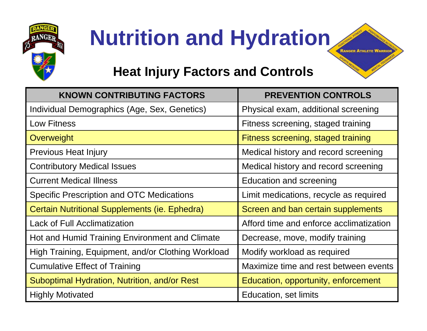

#### **Heat Injury Factors and Controls**

**RANGER ATHLETE WARRIO** 

| <b>KNOWN CONTRIBUTING FACTORS</b>                  | <b>PREVENTION CONTROLS</b>              |
|----------------------------------------------------|-----------------------------------------|
| Individual Demographics (Age, Sex, Genetics)       | Physical exam, additional screening     |
| <b>Low Fitness</b>                                 | Fitness screening, staged training      |
| Overweight                                         | Fitness screening, staged training      |
| <b>Previous Heat Injury</b>                        | Medical history and record screening    |
| <b>Contributory Medical Issues</b>                 | Medical history and record screening    |
| <b>Current Medical Illness</b>                     | <b>Education and screening</b>          |
| <b>Specific Prescription and OTC Medications</b>   | Limit medications, recycle as required  |
| Certain Nutritional Supplements (ie. Ephedra)      | Screen and ban certain supplements      |
| <b>Lack of Full Acclimatization</b>                | Afford time and enforce acclimatization |
| Hot and Humid Training Environment and Climate     | Decrease, move, modify training         |
| High Training, Equipment, and/or Clothing Workload | Modify workload as required             |
| <b>Cumulative Effect of Training</b>               | Maximize time and rest between events   |
| Suboptimal Hydration, Nutrition, and/or Rest       | Education, opportunity, enforcement     |
| <b>Highly Motivated</b>                            | Education, set limits                   |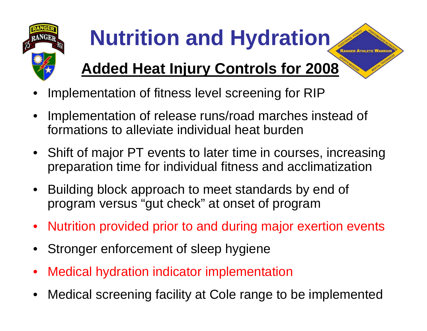

### **Added Heat Injury Controls for 2008**

- •Implementation of fitness level screening for RIP
- • Implementation of release runs/road marches instead of formations to alleviate individual heat burden
- Shift of major PT events to later time in courses, increasing preparation time for individual fitness and acclimatization
- Building block approach to meet standards by end of program versus "gut check" at onset of program
- Nutrition provided prior to and during major exertion events
- •Stronger enforcement of sleep hygiene
- •Medical hydration indicator implementation
- •Medical screening facility at Cole range to be implemented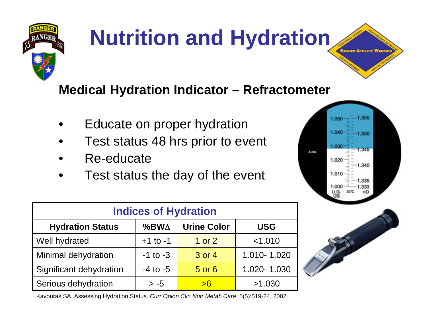

#### **Medical Hydration Indicator – Refractometer**

- •Educate on proper hydration
- •Test status 48 hrs prior to event
- •Re-educate
- •Test status the day of the event



**RANGER ATHLETE WAR** 

| <b>Indices of Hydration</b> |              |                    |             |  |  |  |
|-----------------------------|--------------|--------------------|-------------|--|--|--|
| <b>Hydration Status</b>     | $%BW\Delta$  | <b>Urine Color</b> | <b>USG</b>  |  |  |  |
| Well hydrated               | $+1$ to $-1$ | 1 or 2             | < 1.010     |  |  |  |
| Minimal dehydration         | $-1$ to $-3$ | 3 or 4             | 1.010-1.020 |  |  |  |
| Significant dehydration     | $-4$ to $-5$ | 5 or 6             | 1.020-1.030 |  |  |  |
| Serious dehydration         | $> -5$       | >6                 | >1.030      |  |  |  |

Kavouras SA. Assessing Hydration Status. *Curr Opion Clin Nutr Metab Care.* 5(5):519-24, 2002.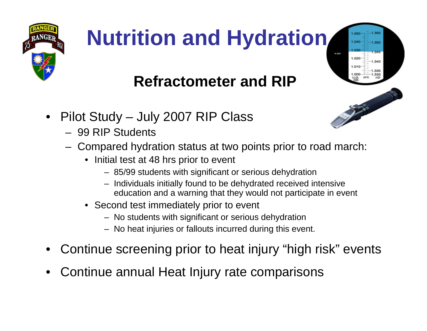

 $-1.355$  $-1.350$ 

1.340

### **Refractometer and RIP**

- $\bullet$  Pilot Study – July 2007 RIP Class
	- 99 RIP Students
	- Compared hydration status at two points prior to road march:
		- Initial test at 48 hrs prior to event
			- 85/99 students with significant or serious dehydration
			- Individuals initially found to be dehydrated received intensive education and a warning that they would not participate in event
		- Second test immediately prior to event
			- No students with significant or serious dehydration
			- No heat injuries or fallouts incurred during this event.
- •Continue screening prior to heat injury "high risk" events
- •Continue annual Heat Injury rate comparisons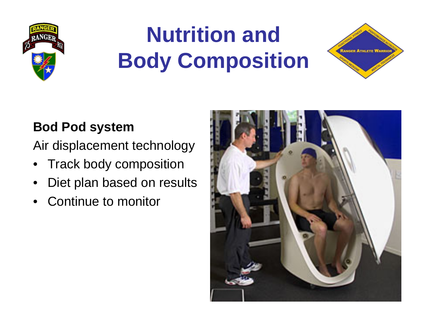

### **Nutrition and Body Composition**



#### **Bod Pod system**

Air displacement technology

- Track body composition
- •Diet plan based on results
- •Continue to monitor

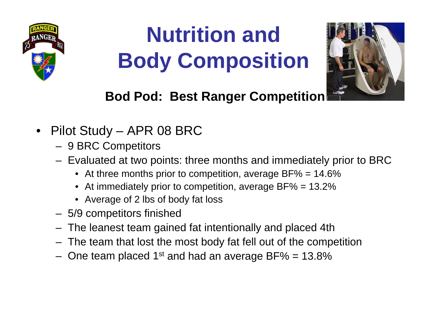

### **Nutrition and Body Composition**



#### **Bod Pod: Best Ranger Competition**

- • Pilot Study – APR 08 BRC
	- $-$  9 BRC Competitors
	- $-$  Evaluated at two points: three months and immediately prior to BRC  $\,$ 
		- $\bullet~$  At three months prior to competition, average BF% = 14.6%
		- At immediately prior to competition, average BF% = 13.2%
		- Average of 2 lbs of body fat loss
	- 5/9 competitors finished
	- The leanest team gained fat intentionally and placed 4th
	- The team that lost the most body fat fell out of the competition
	- $-$  One team placed 1 $^{\rm st}$  and had an average BF% = 13.8%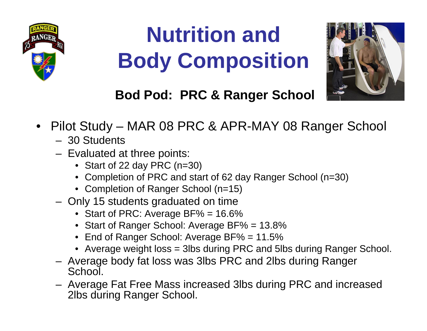

### **Nutrition and Body Composition**



#### **Bod Pod: PRC & Ranger School**

- Pilot Study MAR 08 PRC & APR-MAY 08 Ranger School
	- 30 Students
	- $-$  Evaluated at three points:
		- Start of 22 day PRC (n=30)
		- Completion of PRC and start of 62 day Ranger School (n=30)
		- Completion of Ranger School (n=15)
	- $-$  Only 15 students graduated on time
		- Start of PRC: Average BF% = 16.6%
		- Start of Ranger School: Average BF% = 13.8%
		- End of Ranger School: Average BF% = 11.5%
		- Average weight loss = 3lbs during PRC and 5lbs during Ranger School.
	- Average body fat loss was 3lbs PRC and 2lbs during Ranger School.
	- Average Fat Free Mass increased 3lbs during PRC and increased 2lbs during Ranger School.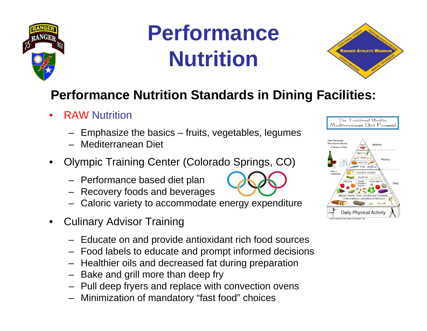

### **Performance Nutrition**



#### **Performance Nutrition Standards in Dining Facilities:**

- • RAW Nutrition
	- Emphasize the basics fruits, vegetables, legumes
	- Mediterranean Diet
- • Olympic Training Center (Colorad[o Springs, CO](http://images.google.com/imgres?imgurl=http://www.reardonpartners.com/Portals/58/olympicsymbol-1.gif&imgrefurl=http://www.reardonpartners.com/ColoradoSprings/AreaAttractions/tabid/1755/Default.aspx&h=208&w=300&sz=6&hl=en&start=140&um=1&tbnid=Tgvrgy0rjz4GnM:&tbnh=80&tbnw=116&prev=/images%3Fq%3Dus%2Bolympic%2Btraining%2Bcenter%2Bcolorado%26start%3D120%26ndsp%3D20%26um%3D1%26hl%3Den%26sa%3DN))
	- Performance based diet plan
	- Recovery foods and beverages
	- Caloric variety to accommodate energy expenditure
- • Culinary Advisor Training
	- Educate on and provide antioxidant rich food sources
	- Food labels to educate and prompt informed decisions
	- Healthier oils and decreased fat during preparation
	- Bake and grill more than deep fry
	- Pull deep fryers and replace with convection ovens
	- Minimization of mandatory "fast food" choices



| Daily Beverage<br>Recommendations:<br>6 Glasses of Water                | MFA <sup>T</sup>                                       | Monthly           |                   |       |
|-------------------------------------------------------------------------|--------------------------------------------------------|-------------------|-------------------|-------|
|                                                                         | <b>SWEETS</b><br>EGGS<br><b>POULTRY</b><br>$FISH \leq$ |                   | Weekly            |       |
| Wine in<br>moderation                                                   | CHEESE & YOGURT                                        |                   |                   |       |
|                                                                         | OLIVE OIL                                              | $\sim$ 0          |                   |       |
| <b>FRUITS</b>                                                           | BEANS.<br><b>LEGUMES</b><br>& NUTS                     | <b>VEGETABLES</b> |                   | Daily |
| BREAD, PASTA, RICE, COUSCOUS, POLENTA,                                  |                                                        |                   |                   |       |
| OTHER WHOLE GRAINS & POTATOES                                           |                                                        |                   |                   |       |
|                                                                         |                                                        |                   |                   |       |
| Daily Physical Activity<br>C 2000 Oldways Preservation & Exchange Trust |                                                        |                   | <b>P. P. P.O.</b> |       |
|                                                                         |                                                        |                   |                   |       |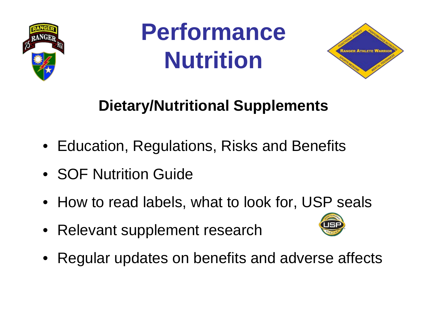

**Performance Nutrition**



### **Dietary/Nutritional Supplements**

- Education, Regulations, Risks and Benefits
- SOF Nutrition Guide
- How to read labels, what to look for, USP seals
- Relevant supplement research



• Regular updates on benefits and adverse affects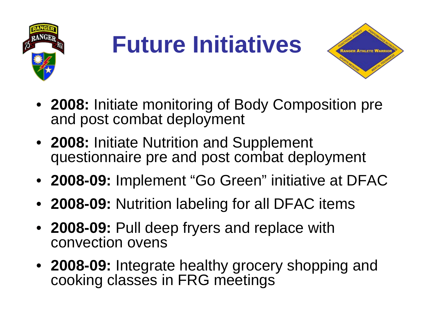

## **Future Initiatives**



- **2008:** Initiate monitoring of Body Composition pre and post combat deployment
- **2008:** Initiate Nutrition and Supplement questionnaire pre and post combat deployment
- **2008-09:** Implement "Go Green" initiative at DFAC
- **2008-09:** Nutrition labeling for all DFAC items
- **2008-09:** Pull deep fryers and replace with convection ovens
- **2008-09:** Integrate healthy grocery shopping and cooking classes in FRG meetings